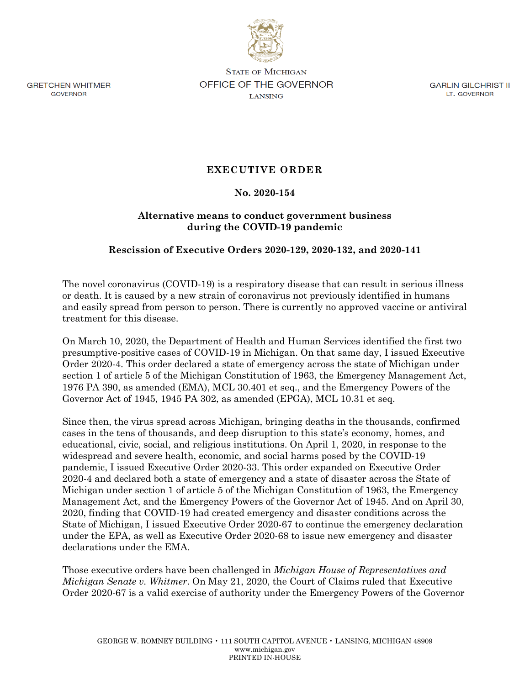

**GRETCHEN WHITMER** GOVERNOR

**STATE OF MICHIGAN OFFICE OF THE GOVERNOR LANSING** 

GARLIN GILCHRIST II LT. GOVERNOR

# **EXECUTIVE ORDER**

#### **No. 2020-154**

## **Alternative means to conduct government business during the COVID-19 pandemic**

### **Rescission of Executive Orders 2020-129, 2020-132, and 2020-141**

The novel coronavirus (COVID-19) is a respiratory disease that can result in serious illness or death. It is caused by a new strain of coronavirus not previously identified in humans and easily spread from person to person. There is currently no approved vaccine or antiviral treatment for this disease.

On March 10, 2020, the Department of Health and Human Services identified the first two presumptive-positive cases of COVID-19 in Michigan. On that same day, I issued Executive Order 2020-4. This order declared a state of emergency across the state of Michigan under section 1 of article 5 of the Michigan Constitution of 1963, the Emergency Management Act, 1976 PA 390, as amended (EMA), MCL 30.401 et seq., and the Emergency Powers of the Governor Act of 1945, 1945 PA 302, as amended (EPGA), MCL 10.31 et seq.

Since then, the virus spread across Michigan, bringing deaths in the thousands, confirmed cases in the tens of thousands, and deep disruption to this state's economy, homes, and educational, civic, social, and religious institutions. On April 1, 2020, in response to the widespread and severe health, economic, and social harms posed by the COVID-19 pandemic, I issued Executive Order 2020-33. This order expanded on Executive Order 2020-4 and declared both a state of emergency and a state of disaster across the State of Michigan under section 1 of article 5 of the Michigan Constitution of 1963, the Emergency Management Act, and the Emergency Powers of the Governor Act of 1945. And on April 30, 2020, finding that COVID-19 had created emergency and disaster conditions across the State of Michigan, I issued Executive Order 2020-67 to continue the emergency declaration under the EPA, as well as Executive Order 2020-68 to issue new emergency and disaster declarations under the EMA.

Those executive orders have been challenged in *Michigan House of Representatives and Michigan Senate v. Whitmer*. On May 21, 2020, the Court of Claims ruled that Executive Order 2020-67 is a valid exercise of authority under the Emergency Powers of the Governor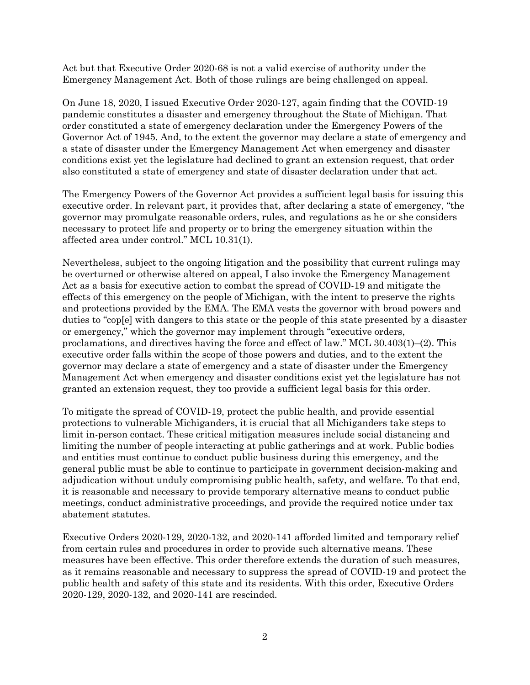Act but that Executive Order 2020-68 is not a valid exercise of authority under the Emergency Management Act. Both of those rulings are being challenged on appeal.

On June 18, 2020, I issued Executive Order 2020-127, again finding that the COVID-19 pandemic constitutes a disaster and emergency throughout the State of Michigan. That order constituted a state of emergency declaration under the Emergency Powers of the Governor Act of 1945. And, to the extent the governor may declare a state of emergency and a state of disaster under the Emergency Management Act when emergency and disaster conditions exist yet the legislature had declined to grant an extension request, that order also constituted a state of emergency and state of disaster declaration under that act.

The Emergency Powers of the Governor Act provides a sufficient legal basis for issuing this executive order. In relevant part, it provides that, after declaring a state of emergency, "the governor may promulgate reasonable orders, rules, and regulations as he or she considers necessary to protect life and property or to bring the emergency situation within the affected area under control." MCL 10.31(1).

Nevertheless, subject to the ongoing litigation and the possibility that current rulings may be overturned or otherwise altered on appeal, I also invoke the Emergency Management Act as a basis for executive action to combat the spread of COVID-19 and mitigate the effects of this emergency on the people of Michigan, with the intent to preserve the rights and protections provided by the EMA. The EMA vests the governor with broad powers and duties to "cop[e] with dangers to this state or the people of this state presented by a disaster or emergency," which the governor may implement through "executive orders, proclamations, and directives having the force and effect of law." MCL 30.403(1)–(2). This executive order falls within the scope of those powers and duties, and to the extent the governor may declare a state of emergency and a state of disaster under the Emergency Management Act when emergency and disaster conditions exist yet the legislature has not granted an extension request, they too provide a sufficient legal basis for this order.

To mitigate the spread of COVID-19, protect the public health, and provide essential protections to vulnerable Michiganders, it is crucial that all Michiganders take steps to limit in-person contact. These critical mitigation measures include social distancing and limiting the number of people interacting at public gatherings and at work. Public bodies and entities must continue to conduct public business during this emergency, and the general public must be able to continue to participate in government decision-making and adjudication without unduly compromising public health, safety, and welfare. To that end, it is reasonable and necessary to provide temporary alternative means to conduct public meetings, conduct administrative proceedings, and provide the required notice under tax abatement statutes.

Executive Orders 2020-129, 2020-132, and 2020-141 afforded limited and temporary relief from certain rules and procedures in order to provide such alternative means. These measures have been effective. This order therefore extends the duration of such measures, as it remains reasonable and necessary to suppress the spread of COVID-19 and protect the public health and safety of this state and its residents. With this order, Executive Orders 2020-129, 2020-132, and 2020-141 are rescinded.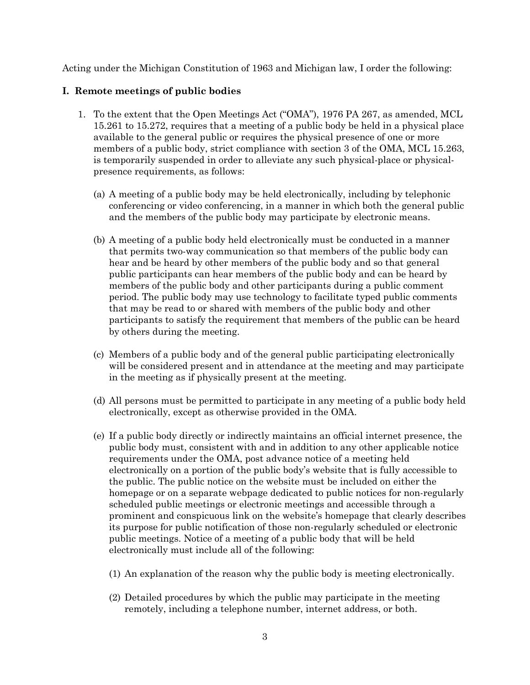Acting under the Michigan Constitution of 1963 and Michigan law, I order the following:

#### **I. Remote meetings of public bodies**

- 1. To the extent that the Open Meetings Act ("OMA"), 1976 PA 267, as amended, MCL 15.261 to 15.272, requires that a meeting of a public body be held in a physical place available to the general public or requires the physical presence of one or more members of a public body, strict compliance with section 3 of the OMA, MCL 15.263, is temporarily suspended in order to alleviate any such physical-place or physicalpresence requirements, as follows:
	- (a) A meeting of a public body may be held electronically, including by telephonic conferencing or video conferencing, in a manner in which both the general public and the members of the public body may participate by electronic means.
	- (b) A meeting of a public body held electronically must be conducted in a manner that permits two-way communication so that members of the public body can hear and be heard by other members of the public body and so that general public participants can hear members of the public body and can be heard by members of the public body and other participants during a public comment period. The public body may use technology to facilitate typed public comments that may be read to or shared with members of the public body and other participants to satisfy the requirement that members of the public can be heard by others during the meeting.
	- (c) Members of a public body and of the general public participating electronically will be considered present and in attendance at the meeting and may participate in the meeting as if physically present at the meeting.
	- (d) All persons must be permitted to participate in any meeting of a public body held electronically, except as otherwise provided in the OMA.
	- (e) If a public body directly or indirectly maintains an official internet presence, the public body must, consistent with and in addition to any other applicable notice requirements under the OMA, post advance notice of a meeting held electronically on a portion of the public body's website that is fully accessible to the public. The public notice on the website must be included on either the homepage or on a separate webpage dedicated to public notices for non-regularly scheduled public meetings or electronic meetings and accessible through a prominent and conspicuous link on the website's homepage that clearly describes its purpose for public notification of those non-regularly scheduled or electronic public meetings. Notice of a meeting of a public body that will be held electronically must include all of the following:
		- (1) An explanation of the reason why the public body is meeting electronically.
		- (2) Detailed procedures by which the public may participate in the meeting remotely, including a telephone number, internet address, or both.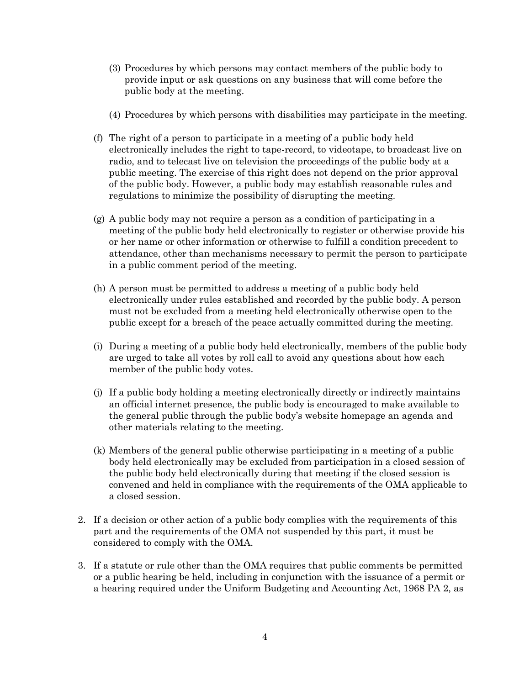- (3) Procedures by which persons may contact members of the public body to provide input or ask questions on any business that will come before the public body at the meeting.
- (4) Procedures by which persons with disabilities may participate in the meeting.
- (f) The right of a person to participate in a meeting of a public body held electronically includes the right to tape-record, to videotape, to broadcast live on radio, and to telecast live on television the proceedings of the public body at a public meeting. The exercise of this right does not depend on the prior approval of the public body. However, a public body may establish reasonable rules and regulations to minimize the possibility of disrupting the meeting.
- (g) A public body may not require a person as a condition of participating in a meeting of the public body held electronically to register or otherwise provide his or her name or other information or otherwise to fulfill a condition precedent to attendance, other than mechanisms necessary to permit the person to participate in a public comment period of the meeting.
- (h) A person must be permitted to address a meeting of a public body held electronically under rules established and recorded by the public body. A person must not be excluded from a meeting held electronically otherwise open to the public except for a breach of the peace actually committed during the meeting.
- (i) During a meeting of a public body held electronically, members of the public body are urged to take all votes by roll call to avoid any questions about how each member of the public body votes.
- (j) If a public body holding a meeting electronically directly or indirectly maintains an official internet presence, the public body is encouraged to make available to the general public through the public body's website homepage an agenda and other materials relating to the meeting.
- (k) Members of the general public otherwise participating in a meeting of a public body held electronically may be excluded from participation in a closed session of the public body held electronically during that meeting if the closed session is convened and held in compliance with the requirements of the OMA applicable to a closed session.
- 2. If a decision or other action of a public body complies with the requirements of this part and the requirements of the OMA not suspended by this part, it must be considered to comply with the OMA.
- 3. If a statute or rule other than the OMA requires that public comments be permitted or a public hearing be held, including in conjunction with the issuance of a permit or a hearing required under the Uniform Budgeting and Accounting Act, 1968 PA 2, as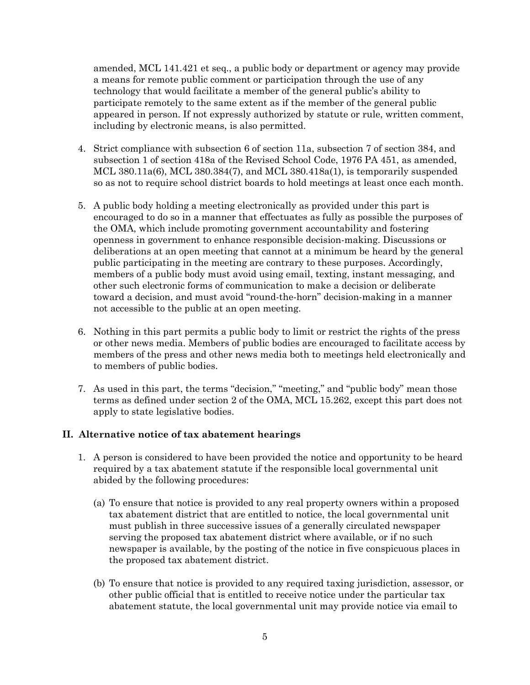amended, MCL 141.421 et seq., a public body or department or agency may provide a means for remote public comment or participation through the use of any technology that would facilitate a member of the general public's ability to participate remotely to the same extent as if the member of the general public appeared in person. If not expressly authorized by statute or rule, written comment, including by electronic means, is also permitted.

- 4. Strict compliance with subsection 6 of section 11a, subsection 7 of section 384, and subsection 1 of section 418a of the Revised School Code, 1976 PA 451, as amended, MCL  $380.11a(6)$ , MCL  $380.384(7)$ , and MCL  $380.418a(1)$ , is temporarily suspended so as not to require school district boards to hold meetings at least once each month.
- 5. A public body holding a meeting electronically as provided under this part is encouraged to do so in a manner that effectuates as fully as possible the purposes of the OMA, which include promoting government accountability and fostering openness in government to enhance responsible decision-making. Discussions or deliberations at an open meeting that cannot at a minimum be heard by the general public participating in the meeting are contrary to these purposes. Accordingly, members of a public body must avoid using email, texting, instant messaging, and other such electronic forms of communication to make a decision or deliberate toward a decision, and must avoid "round-the-horn" decision-making in a manner not accessible to the public at an open meeting.
- 6. Nothing in this part permits a public body to limit or restrict the rights of the press or other news media. Members of public bodies are encouraged to facilitate access by members of the press and other news media both to meetings held electronically and to members of public bodies.
- 7. As used in this part, the terms "decision," "meeting," and "public body" mean those terms as defined under section 2 of the OMA, MCL 15.262, except this part does not apply to state legislative bodies.

#### **II. Alternative notice of tax abatement hearings**

- 1. A person is considered to have been provided the notice and opportunity to be heard required by a tax abatement statute if the responsible local governmental unit abided by the following procedures:
	- (a) To ensure that notice is provided to any real property owners within a proposed tax abatement district that are entitled to notice, the local governmental unit must publish in three successive issues of a generally circulated newspaper serving the proposed tax abatement district where available, or if no such newspaper is available, by the posting of the notice in five conspicuous places in the proposed tax abatement district.
	- (b) To ensure that notice is provided to any required taxing jurisdiction, assessor, or other public official that is entitled to receive notice under the particular tax abatement statute, the local governmental unit may provide notice via email to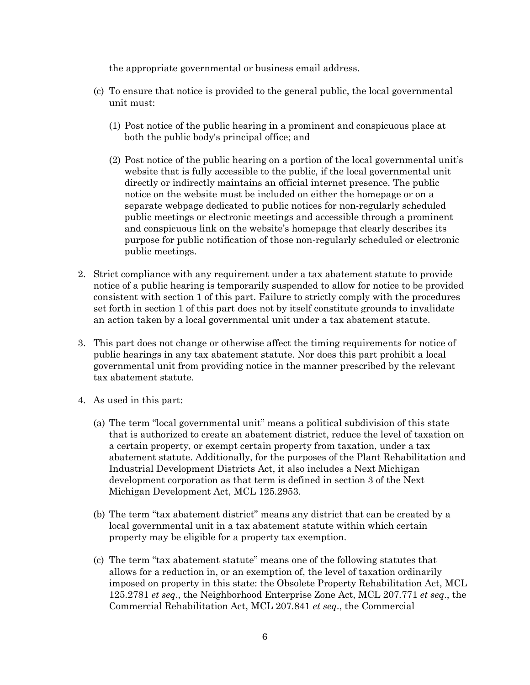the appropriate governmental or business email address.

- (c) To ensure that notice is provided to the general public, the local governmental unit must:
	- (1) Post notice of the public hearing in a prominent and conspicuous place at both the public body's principal office; and
	- (2) Post notice of the public hearing on a portion of the local governmental unit's website that is fully accessible to the public, if the local governmental unit directly or indirectly maintains an official internet presence. The public notice on the website must be included on either the homepage or on a separate webpage dedicated to public notices for non-regularly scheduled public meetings or electronic meetings and accessible through a prominent and conspicuous link on the website's homepage that clearly describes its purpose for public notification of those non-regularly scheduled or electronic public meetings.
- 2. Strict compliance with any requirement under a tax abatement statute to provide notice of a public hearing is temporarily suspended to allow for notice to be provided consistent with section 1 of this part. Failure to strictly comply with the procedures set forth in section 1 of this part does not by itself constitute grounds to invalidate an action taken by a local governmental unit under a tax abatement statute.
- 3. This part does not change or otherwise affect the timing requirements for notice of public hearings in any tax abatement statute. Nor does this part prohibit a local governmental unit from providing notice in the manner prescribed by the relevant tax abatement statute.
- 4. As used in this part:
	- (a) The term "local governmental unit" means a political subdivision of this state that is authorized to create an abatement district, reduce the level of taxation on a certain property, or exempt certain property from taxation, under a tax abatement statute. Additionally, for the purposes of the Plant Rehabilitation and Industrial Development Districts Act, it also includes a Next Michigan development corporation as that term is defined in section 3 of the Next Michigan Development Act, MCL 125.2953.
	- (b) The term "tax abatement district" means any district that can be created by a local governmental unit in a tax abatement statute within which certain property may be eligible for a property tax exemption.
	- (c) The term "tax abatement statute" means one of the following statutes that allows for a reduction in, or an exemption of, the level of taxation ordinarily imposed on property in this state: the Obsolete Property Rehabilitation Act, MCL 125.2781 *et seq*., the Neighborhood Enterprise Zone Act, MCL 207.771 *et seq*., the Commercial Rehabilitation Act, MCL 207.841 *et seq*., the Commercial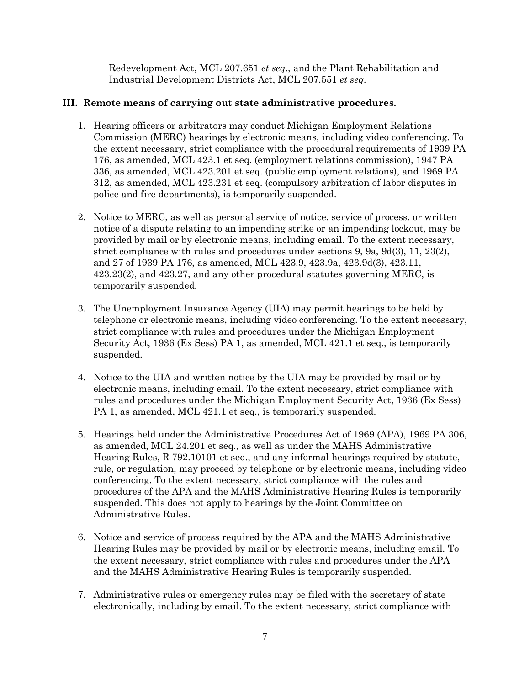Redevelopment Act, MCL 207.651 *et seq*., and the Plant Rehabilitation and Industrial Development Districts Act, MCL 207.551 *et seq*.

# **III. Remote means of carrying out state administrative procedures.**

- 1. Hearing officers or arbitrators may conduct Michigan Employment Relations Commission (MERC) hearings by electronic means, including video conferencing. To the extent necessary, strict compliance with the procedural requirements of 1939 PA 176, as amended, MCL 423.1 et seq. (employment relations commission), 1947 PA 336, as amended, MCL 423.201 et seq. (public employment relations), and 1969 PA 312, as amended, MCL 423.231 et seq. (compulsory arbitration of labor disputes in police and fire departments), is temporarily suspended.
- 2. Notice to MERC, as well as personal service of notice, service of process, or written notice of a dispute relating to an impending strike or an impending lockout, may be provided by mail or by electronic means, including email. To the extent necessary, strict compliance with rules and procedures under sections 9, 9a, 9d(3), 11, 23(2), and 27 of 1939 PA 176, as amended, MCL 423.9, 423.9a, 423.9d(3), 423.11, 423.23(2), and 423.27, and any other procedural statutes governing MERC, is temporarily suspended.
- 3. The Unemployment Insurance Agency (UIA) may permit hearings to be held by telephone or electronic means, including video conferencing. To the extent necessary, strict compliance with rules and procedures under the Michigan Employment Security Act, 1936 (Ex Sess) PA 1, as amended, MCL 421.1 et seq., is temporarily suspended.
- 4. Notice to the UIA and written notice by the UIA may be provided by mail or by electronic means, including email. To the extent necessary, strict compliance with rules and procedures under the Michigan Employment Security Act, 1936 (Ex Sess) PA 1, as amended, MCL 421.1 et seq., is temporarily suspended.
- 5. Hearings held under the Administrative Procedures Act of 1969 (APA), 1969 PA 306, as amended, MCL 24.201 et seq., as well as under the MAHS Administrative Hearing Rules, R 792.10101 et seq., and any informal hearings required by statute, rule, or regulation, may proceed by telephone or by electronic means, including video conferencing. To the extent necessary, strict compliance with the rules and procedures of the APA and the MAHS Administrative Hearing Rules is temporarily suspended. This does not apply to hearings by the Joint Committee on Administrative Rules.
- 6. Notice and service of process required by the APA and the MAHS Administrative Hearing Rules may be provided by mail or by electronic means, including email. To the extent necessary, strict compliance with rules and procedures under the APA and the MAHS Administrative Hearing Rules is temporarily suspended.
- 7. Administrative rules or emergency rules may be filed with the secretary of state electronically, including by email. To the extent necessary, strict compliance with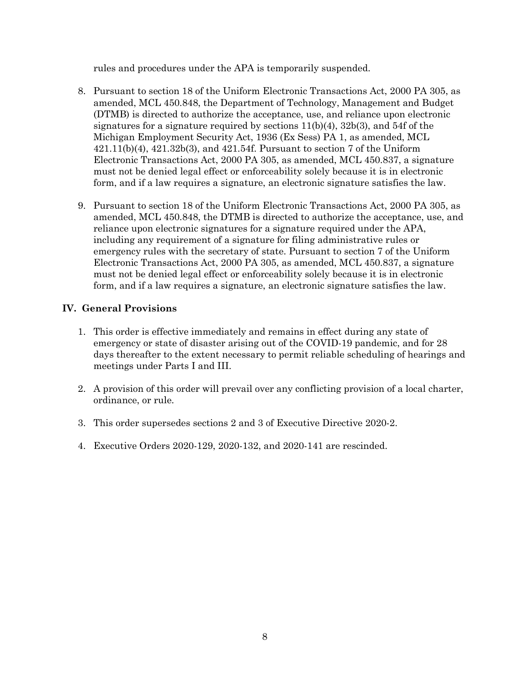rules and procedures under the APA is temporarily suspended.

- 8. Pursuant to section 18 of the Uniform Electronic Transactions Act, 2000 PA 305, as amended, MCL 450.848, the Department of Technology, Management and Budget (DTMB) is directed to authorize the acceptance, use, and reliance upon electronic signatures for a signature required by sections  $11(b)(4)$ ,  $32b(3)$ , and  $54f$  of the Michigan Employment Security Act, 1936 (Ex Sess) PA 1, as amended, MCL  $421.11(b)(4)$ ,  $421.32b(3)$ , and  $421.54f$ . Pursuant to section 7 of the Uniform Electronic Transactions Act, 2000 PA 305, as amended, MCL 450.837, a signature must not be denied legal effect or enforceability solely because it is in electronic form, and if a law requires a signature, an electronic signature satisfies the law.
- 9. Pursuant to section 18 of the Uniform Electronic Transactions Act, 2000 PA 305, as amended, MCL 450.848, the DTMB is directed to authorize the acceptance, use, and reliance upon electronic signatures for a signature required under the APA, including any requirement of a signature for filing administrative rules or emergency rules with the secretary of state. Pursuant to section 7 of the Uniform Electronic Transactions Act, 2000 PA 305, as amended, MCL 450.837, a signature must not be denied legal effect or enforceability solely because it is in electronic form, and if a law requires a signature, an electronic signature satisfies the law.

### **IV. General Provisions**

- 1. This order is effective immediately and remains in effect during any state of emergency or state of disaster arising out of the COVID-19 pandemic, and for 28 days thereafter to the extent necessary to permit reliable scheduling of hearings and meetings under Parts I and III.
- 2. A provision of this order will prevail over any conflicting provision of a local charter, ordinance, or rule.
- 3. This order supersedes sections 2 and 3 of Executive Directive 2020-2.
- 4. Executive Orders 2020-129, 2020-132, and 2020-141 are rescinded.